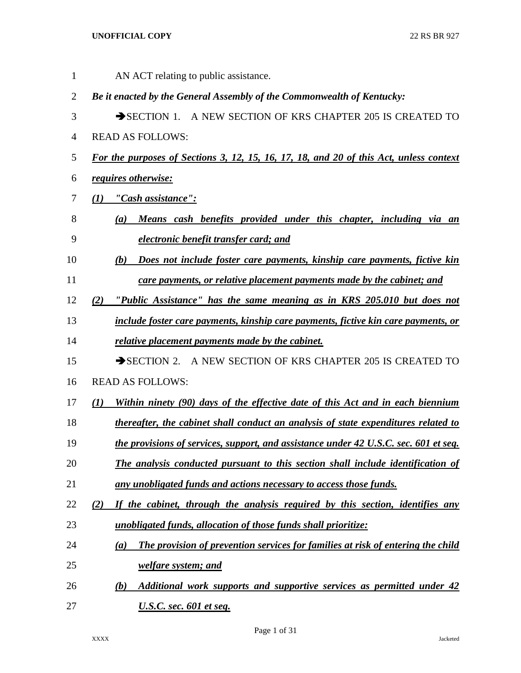AN ACT relating to public assistance. *Be it enacted by the General Assembly of the Commonwealth of Kentucky:* 3 SECTION 1. A NEW SECTION OF KRS CHAPTER 205 IS CREATED TO READ AS FOLLOWS: *For the purposes of Sections 3, 12, 15, 16, 17, 18, and 20 of this Act, unless context requires otherwise: (1) "Cash assistance": (a) Means cash benefits provided under this chapter, including via an electronic benefit transfer card; and (b) Does not include foster care payments, kinship care payments, fictive kin care payments, or relative placement payments made by the cabinet; and (2) "Public Assistance" has the same meaning as in KRS 205.010 but does not include foster care payments, kinship care payments, fictive kin care payments, or relative placement payments made by the cabinet.* 15 SECTION 2. A NEW SECTION OF KRS CHAPTER 205 IS CREATED TO READ AS FOLLOWS: *(1) Within ninety (90) days of the effective date of this Act and in each biennium thereafter, the cabinet shall conduct an analysis of state expenditures related to the provisions of services, support, and assistance under 42 U.S.C. sec. 601 et seq. The analysis conducted pursuant to this section shall include identification of any unobligated funds and actions necessary to access those funds. (2) If the cabinet, through the analysis required by this section, identifies any unobligated funds, allocation of those funds shall prioritize: (a) The provision of prevention services for families at risk of entering the child welfare system; and (b) Additional work supports and supportive services as permitted under 42 U.S.C. sec. 601 et seq.*

Page 1 of 31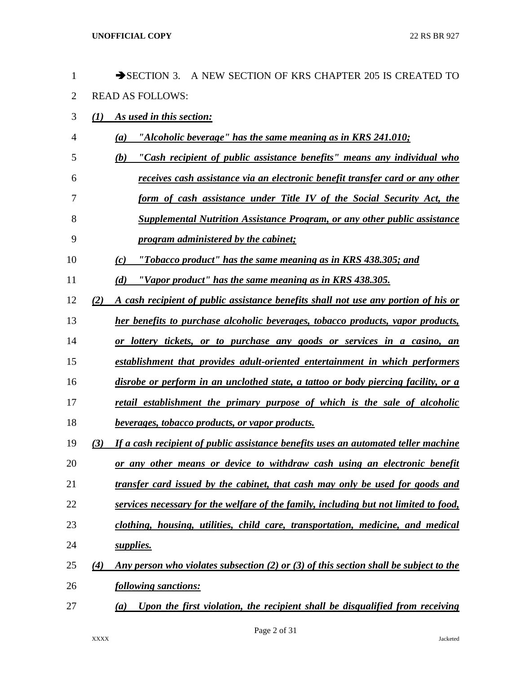| 1              |     | $\rightarrow$ SECTION 3.<br>A NEW SECTION OF KRS CHAPTER 205 IS CREATED TO            |
|----------------|-----|---------------------------------------------------------------------------------------|
| $\overline{2}$ |     | <b>READ AS FOLLOWS:</b>                                                               |
| 3              | (1) | As used in this section:                                                              |
| 4              |     | "Alcoholic beverage" has the same meaning as in KRS 241.010;<br>(a)                   |
| 5              |     | "Cash recipient of public assistance benefits" means any individual who<br>(b)        |
| 6              |     | receives cash assistance via an electronic benefit transfer card or any other         |
| 7              |     | form of cash assistance under Title IV of the Social Security Act, the                |
| 8              |     | Supplemental Nutrition Assistance Program, or any other public assistance             |
| 9              |     | program administered by the cabinet;                                                  |
| 10             |     | "Tobacco product" has the same meaning as in KRS 438.305; and<br>(c)                  |
| 11             |     | "Vapor product" has the same meaning as in KRS 438.305.<br>(d)                        |
| 12             | (2) | A cash recipient of public assistance benefits shall not use any portion of his or    |
| 13             |     | her benefits to purchase alcoholic beverages, tobacco products, vapor products,       |
| 14             |     | or lottery tickets, or to purchase any goods or services in a casino, an              |
| 15             |     | establishment that provides adult-oriented entertainment in which performers          |
| 16             |     | disrobe or perform in an unclothed state, a tattoo or body piercing facility, or a    |
| 17             |     | retail establishment the primary purpose of which is the sale of alcoholic            |
| 18             |     | <i>beverages, tobacco products, or vapor products.</i>                                |
| 19             | (3) | If a cash recipient of public assistance benefits uses an automated teller machine    |
| 20             |     | or any other means or device to withdraw cash using an electronic benefit             |
| 21             |     | transfer card issued by the cabinet, that cash may only be used for goods and         |
| 22             |     | services necessary for the welfare of the family, including but not limited to food,  |
| 23             |     | clothing, housing, utilities, child care, transportation, medicine, and medical       |
| 24             |     | supplies.                                                                             |
| 25             | (4) | Any person who violates subsection (2) or (3) of this section shall be subject to the |
| 26             |     | following sanctions:                                                                  |
| 27             |     | Upon the first violation, the recipient shall be disqualified from receiving<br>(a)   |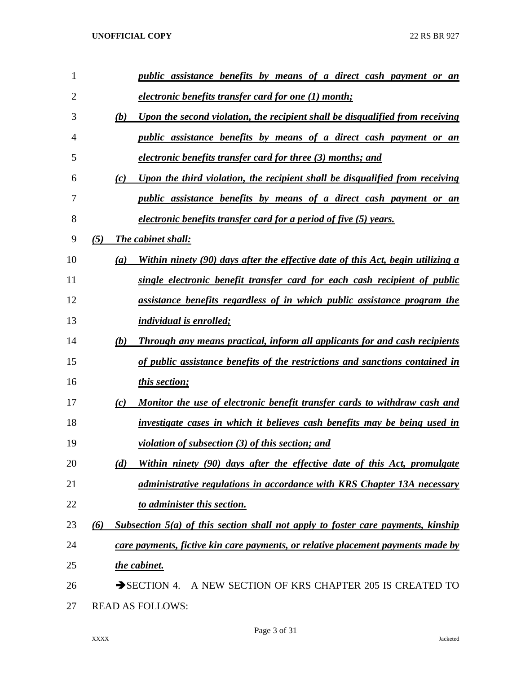| 1              | public assistance benefits by means of a direct cash payment or an                       |
|----------------|------------------------------------------------------------------------------------------|
| $\overline{2}$ | electronic benefits transfer card for one (1) month;                                     |
| 3              | Upon the second violation, the recipient shall be disqualified from receiving<br>(b)     |
| 4              | public assistance benefits by means of a direct cash payment or an                       |
| 5              | electronic benefits transfer card for three (3) months; and                              |
| 6              | Upon the third violation, the recipient shall be disqualified from receiving<br>(c)      |
| 7              | <i>public assistance benefits by means of a direct cash payment or an</i>                |
| 8              | electronic benefits transfer card for a period of five (5) years.                        |
| 9              | (5)<br>The cabinet shall:                                                                |
| 10             | Within ninety (90) days after the effective date of this Act, begin utilizing a<br>(a)   |
| 11             | single electronic benefit transfer card for each cash recipient of public                |
| 12             | assistance benefits regardless of in which public assistance program the                 |
| 13             | <i>individual is enrolled;</i>                                                           |
| 14             | (b)<br><b>Through any means practical, inform all applicants for and cash recipients</b> |
| 15             | of public assistance benefits of the restrictions and sanctions contained in             |
| 16             | <i>this section;</i>                                                                     |
| 17             | Monitor the use of electronic benefit transfer cards to withdraw cash and<br>(c)         |
| 18             | investigate cases in which it believes cash benefits may be being used in                |
| 19             | <i>violation of subsection (3) of this section; and</i>                                  |
| 20             | (d)<br>Within ninety (90) days after the effective date of this Act, promulgate          |
| 21             | <i>administrative regulations in accordance with KRS Chapter 13A necessary</i>           |
| 22             | to administer this section.                                                              |
| 23             | Subsection 5(a) of this section shall not apply to foster care payments, kinship<br>(6)  |
| 24             | care payments, fictive kin care payments, or relative placement payments made by         |
| 25             | the cabinet.                                                                             |
| 26             | SECTION 4. A NEW SECTION OF KRS CHAPTER 205 IS CREATED TO                                |
| 27             | <b>READ AS FOLLOWS:</b>                                                                  |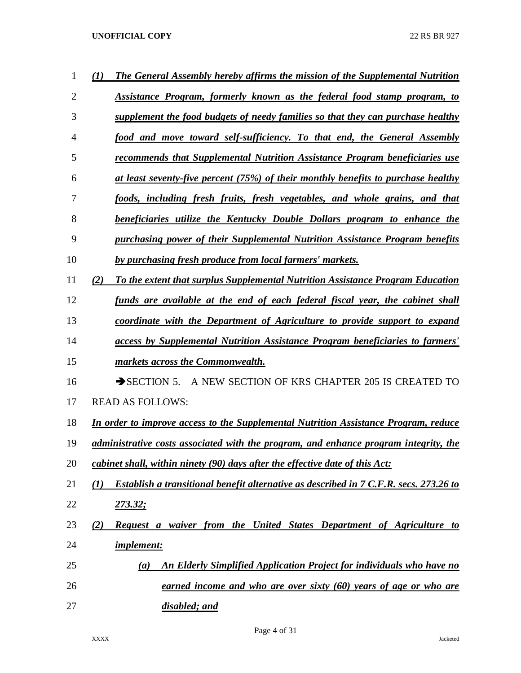| 1              | The General Assembly hereby affirms the mission of the Supplemental Nutrition<br>$\bf(1)$                        |
|----------------|------------------------------------------------------------------------------------------------------------------|
| $\overline{2}$ | Assistance Program, formerly known as the federal food stamp program, to                                         |
| 3              | supplement the food budgets of needy families so that they can purchase healthy                                  |
| $\overline{4}$ | food and move toward self-sufficiency. To that end, the General Assembly                                         |
| 5              | recommends that Supplemental Nutrition Assistance Program beneficiaries use                                      |
| 6              | at least seventy-five percent (75%) of their monthly benefits to purchase healthy                                |
| 7              | foods, including fresh fruits, fresh vegetables, and whole grains, and that                                      |
| 8              | beneficiaries utilize the Kentucky Double Dollars program to enhance the                                         |
| 9              | purchasing power of their Supplemental Nutrition Assistance Program benefits                                     |
| 10             | by purchasing fresh produce from local farmers' markets.                                                         |
| 11             | To the extent that surplus Supplemental Nutrition Assistance Program Education<br>(2)                            |
| 12             | funds are available at the end of each federal fiscal year, the cabinet shall                                    |
| 13             | coordinate with the Department of Agriculture to provide support to expand                                       |
| 14             | access by Supplemental Nutrition Assistance Program beneficiaries to farmers'                                    |
| 15             | markets across the Commonwealth.                                                                                 |
| 16             | A NEW SECTION OF KRS CHAPTER 205 IS CREATED TO<br>$\rightarrow$ SECTION 5.                                       |
| 17             | <b>READ AS FOLLOWS:</b>                                                                                          |
| 18             | In order to improve access to the Supplemental Nutrition Assistance Program, reduce                              |
| 19             | administrative costs associated with the program, and enhance program integrity, the                             |
| 20             | cabinet shall, within ninety (90) days after the effective date of this Act:                                     |
| 21             | <b>Establish a transitional benefit alternative as described in 7 C.F.R. secs. 273.26 to</b><br>$\mathcal{L}(I)$ |
| 22             | <u> 273.32;</u>                                                                                                  |
| 23             | Request a waiver from the United States Department of Agriculture to<br>(2)                                      |
| 24             | <i>implement:</i>                                                                                                |
| 25             | <b>An Elderly Simplified Application Project for individuals who have no</b><br>(a)                              |
| 26             | earned income and who are over sixty (60) years of age or who are                                                |
| 27             | disabled; and                                                                                                    |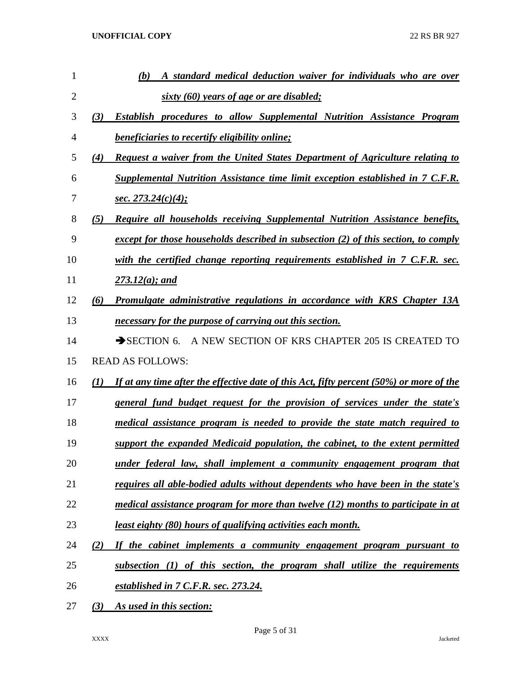| 1              |     | A standard medical deduction waiver for individuals who are over<br>(b)                    |
|----------------|-----|--------------------------------------------------------------------------------------------|
| $\overline{2}$ |     | sixty (60) years of age or are disabled;                                                   |
| 3              | (3) | Establish procedures to allow Supplemental Nutrition Assistance Program                    |
| 4              |     | <i>beneficiaries to recertify eligibility online;</i>                                      |
| 5              | (4) | Request a waiver from the United States Department of Agriculture relating to              |
| 6              |     | Supplemental Nutrition Assistance time limit exception established in 7 C.F.R.             |
| 7              |     | <u>sec. 273.24(c)(4);</u>                                                                  |
| 8              | (5) | Require all households receiving Supplemental Nutrition Assistance benefits,               |
| 9              |     | except for those households described in subsection (2) of this section, to comply         |
| 10             |     | with the certified change reporting requirements established in $7$ C.F.R. sec.            |
| 11             |     | $273.12(a)$ ; and                                                                          |
| 12             | (6) | Promulgate administrative regulations in accordance with KRS Chapter 13A                   |
| 13             |     | necessary for the purpose of carrying out this section.                                    |
| 14             |     | A NEW SECTION OF KRS CHAPTER 205 IS CREATED TO<br>$\rightarrow$ SECTION 6.                 |
| 15             |     | <b>READ AS FOLLOWS:</b>                                                                    |
| 16             | (I) | If at any time after the effective date of this Act, fifty percent $(50\%)$ or more of the |
| 17             |     | <u>general fund budget request for the provision of services under the state's</u>         |
| 18             |     | medical assistance program is needed to provide the state match required to                |
| 19             |     | support the expanded Medicaid population, the cabinet, to the extent permitted             |
| 20             |     | under federal law, shall implement a community engagement program that                     |
| 21             |     | requires all able-bodied adults without dependents who have been in the state's            |
| 22             |     | medical assistance program for more than twelve $(12)$ months to participate in at         |
| 23             |     | least eighty (80) hours of qualifying activities each month.                               |
| 24             | (2) | If the cabinet implements a community engagement program pursuant to                       |
| 25             |     | subsection (1) of this section, the program shall utilize the requirements                 |
| 26             |     | established in 7 C.F.R. sec. 273.24.                                                       |
| 27             | (3) | As used in this section:                                                                   |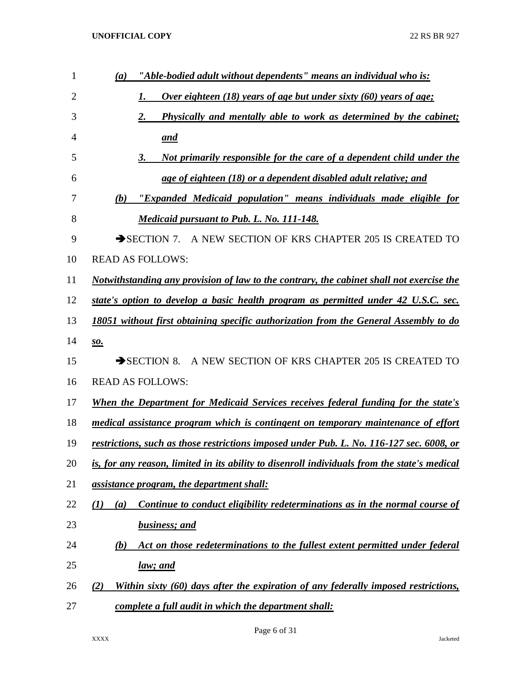| $\mathbf{1}$   | "Able-bodied adult without dependents" means an individual who is:<br>(a)                    |
|----------------|----------------------------------------------------------------------------------------------|
| $\overline{2}$ | <u>Over eighteen (18) years of age but under sixty (60) years of age;</u><br>1.              |
| 3              | Physically and mentally able to work as determined by the cabinet;<br>2.                     |
| 4              | <u>and</u>                                                                                   |
| 5              | <u>Not primarily responsible for the care of a dependent child under the</u><br>3.           |
| 6              | age of eighteen (18) or a dependent disabled adult relative; and                             |
| 7              | "Expanded Medicaid population" means individuals made eligible for<br>(b)                    |
| 8              | <b>Medicaid pursuant to Pub. L. No. 111-148.</b>                                             |
| 9              | SECTION 7. A NEW SECTION OF KRS CHAPTER 205 IS CREATED TO                                    |
| 10             | <b>READ AS FOLLOWS:</b>                                                                      |
| 11             | Notwithstanding any provision of law to the contrary, the cabinet shall not exercise the     |
| 12             | state's option to develop a basic health program as permitted under 42 U.S.C. sec.           |
| 13             | 18051 without first obtaining specific authorization from the General Assembly to do         |
| 14             | <u>so.</u>                                                                                   |
| 15             | SECTION 8. A NEW SECTION OF KRS CHAPTER 205 IS CREATED TO                                    |
| 16             | <b>READ AS FOLLOWS:</b>                                                                      |
| 17             | When the Department for Medicaid Services receives federal funding for the state's           |
| 18             | medical assistance program which is contingent on temporary maintenance of effort            |
| 19             | restrictions, such as those restrictions imposed under Pub. L. No. 116-127 sec. 6008, or     |
| 20             | is, for any reason, limited in its ability to disenroll individuals from the state's medical |
| 21             | assistance program, the department shall:                                                    |
| 22             | Continue to conduct eligibility redeterminations as in the normal course of<br>(I)<br>(a)    |
| 23             | <b>business</b> ; and                                                                        |
| 24             | Act on those redeterminations to the fullest extent permitted under federal<br>(b)           |
| 25             | <u>law; and</u>                                                                              |
| 26             | Within sixty (60) days after the expiration of any federally imposed restrictions,<br>(2)    |
| 27             | complete a full audit in which the department shall:                                         |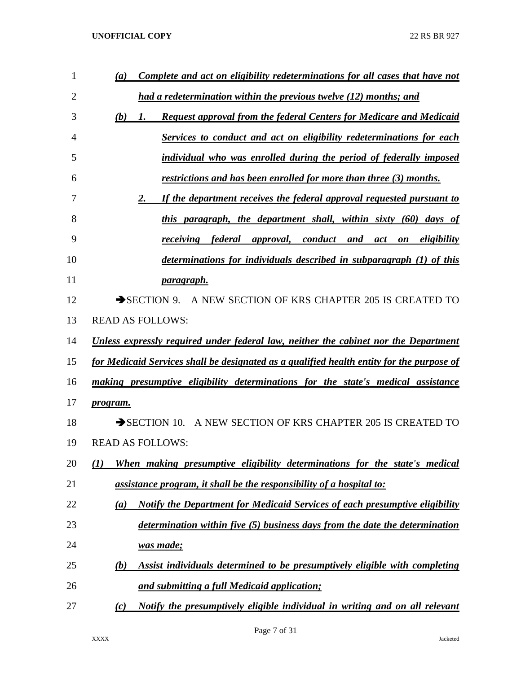| $\mathbf{1}$ | Complete and act on eligibility redeterminations for all cases that have not<br>(a)            |
|--------------|------------------------------------------------------------------------------------------------|
| 2            | had a redetermination within the previous twelve (12) months; and                              |
| 3            | (b)<br><b>Request approval from the federal Centers for Medicare and Medicaid</b><br>1.        |
| 4            | Services to conduct and act on eligibility redeterminations for each                           |
| 5            | individual who was enrolled during the period of federally imposed                             |
| 6            | <u>restrictions and has been enrolled for more than three (3) months.</u>                      |
| 7            | 2.<br>If the department receives the federal approval requested pursuant to                    |
| 8            | this paragraph, the department shall, within sixty (60)<br>days of                             |
| 9            | federal<br>approval,<br>conduct<br>eligibility<br>receiving<br>and<br>act<br>$\boldsymbol{on}$ |
| 10           | determinations for individuals described in subparagraph (1) of this                           |
| 11           | paragraph.                                                                                     |
| 12           | $\rightarrow$ SECTION 9.<br>A NEW SECTION OF KRS CHAPTER 205 IS CREATED TO                     |
| 13           | <b>READ AS FOLLOWS:</b>                                                                        |
| 14           | Unless expressly required under federal law, neither the cabinet nor the Department            |
| 15           | for Medicaid Services shall be designated as a qualified health entity for the purpose of      |
| 16           | making presumptive eligibility determinations for the state's medical assistance               |
| 17           | program.                                                                                       |
| 18           | A NEW SECTION OF KRS CHAPTER 205 IS CREATED TO<br>$\rightarrow$ SECTION 10.                    |
| 19           | <b>READ AS FOLLOWS:</b>                                                                        |
| 20           | When making presumptive eligibility determinations for the state's medical<br>(1)              |
| 21           | assistance program, it shall be the responsibility of a hospital to:                           |
| 22           | <b>Notify the Department for Medicaid Services of each presumptive eligibility</b><br>(a)      |
| 23           | determination within five (5) business days from the date the determination                    |
| 24           | <u>was made;</u>                                                                               |
| 25           | Assist individuals determined to be presumptively eligible with completing<br>(b)              |
| 26           | and submitting a full Medicaid application;                                                    |
| 27           | Notify the presumptively eligible individual in writing and on all relevant<br>(c)             |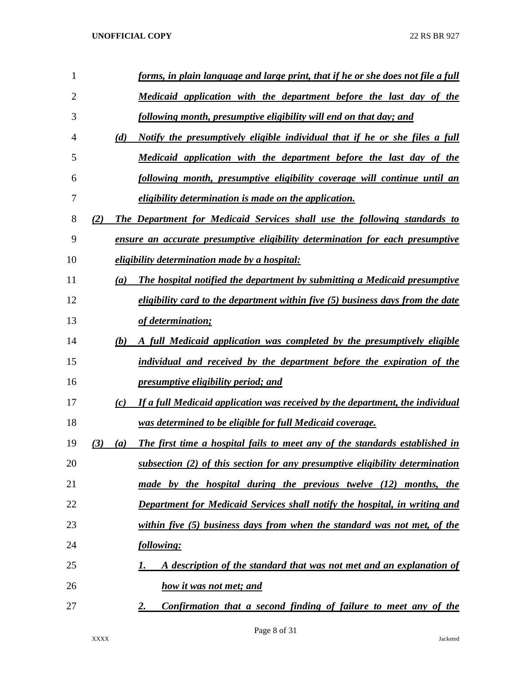| 1              | forms, in plain language and large print, that if he or she does not file a full          |
|----------------|-------------------------------------------------------------------------------------------|
| $\overline{2}$ | Medicaid application with the department before the last day of the                       |
| 3              | following month, presumptive eligibility will end on that day; and                        |
| 4              | Notify the presumptively eligible individual that if he or she files a full<br>(d)        |
| 5              | Medicaid application with the department before the last day of the                       |
| 6              | following month, presumptive eligibility coverage will continue until an                  |
| 7              | <i>eligibility determination is made on the application.</i>                              |
| 8              | The Department for Medicaid Services shall use the following standards to<br>(2)          |
| 9              | ensure an accurate presumptive eligibility determination for each presumptive             |
| 10             | eligibility determination made by a hospital:                                             |
| 11             | The hospital notified the department by submitting a Medicaid presumptive<br>(a)          |
| 12             | eligibility card to the department within five $(5)$ business days from the date          |
| 13             | of determination;                                                                         |
| 14             | (b)<br>A full Medicaid application was completed by the presumptively eligible            |
| 15             | individual and received by the department before the expiration of the                    |
| 16             | <i>presumptive eligibility period; and</i>                                                |
| 17             | If a full Medicaid application was received by the department, the individual<br>(c)      |
| 18             | was determined to be eligible for full Medicaid coverage.                                 |
| 19             | The first time a hospital fails to meet any of the standards established in<br>(3)<br>(a) |
| 20             | subsection (2) of this section for any presumptive eligibility determination              |
| 21             | made by the hospital during the previous twelve (12) months, the                          |
| 22             | Department for Medicaid Services shall notify the hospital, in writing and                |
| 23             | within five $(5)$ business days from when the standard was not met, of the                |
| 24             | following:                                                                                |
| 25             | A description of the standard that was not met and an explanation of                      |
| 26             | how it was not met; and                                                                   |
| 27             | <b>Confirmation that a second finding of failure to meet any of the</b><br>2.             |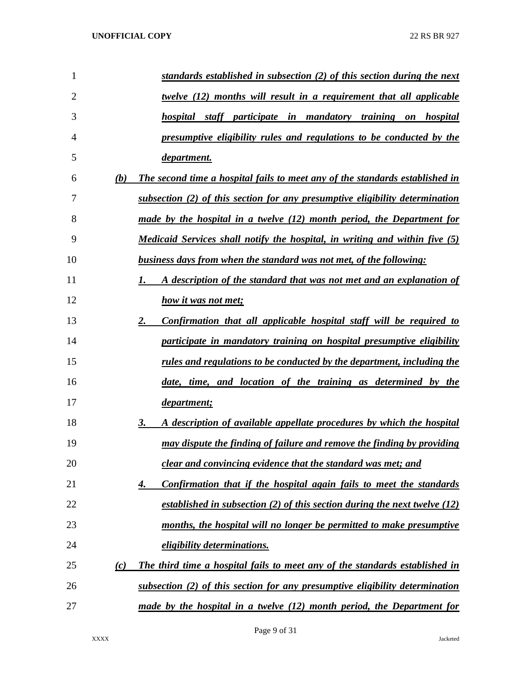| $\mathbf{1}$   | standards established in subsection (2) of this section during the next             |
|----------------|-------------------------------------------------------------------------------------|
| $\overline{2}$ | <u>twelve (12) months will result in a requirement that all applicable</u>          |
| 3              | hospital staff participate in mandatory training on hospital                        |
| 4              | presumptive eligibility rules and regulations to be conducted by the                |
| 5              | department.                                                                         |
| 6              | (b)<br>The second time a hospital fails to meet any of the standards established in |
| 7              | subsection (2) of this section for any presumptive eligibility determination        |
| 8              | made by the hospital in a twelve (12) month period, the Department for              |
| 9              | Medicaid Services shall notify the hospital, in writing and within five (5)         |
| 10             | business days from when the standard was not met, of the following:                 |
| 11             | A description of the standard that was not met and an explanation of<br>1.          |
| 12             | how it was not met;                                                                 |
| 13             | <u>2.</u><br>Confirmation that all applicable hospital staff will be required to    |
| 14             | participate in mandatory training on hospital presumptive eligibility               |
| 15             | <u>rules and regulations to be conducted by the department, including the</u>       |
| 16             | date, time, and location of the training as determined by the                       |
| 17             | department;                                                                         |
| 18             | 3.<br>A description of available appellate procedures by which the hospital         |
| 19             | may dispute the finding of failure and remove the finding by providing              |
| 20             | clear and convincing evidence that the standard was met; and                        |
| 21             | Confirmation that if the hospital again fails to meet the standards<br>4.           |
| 22             | established in subsection (2) of this section during the next twelve $(12)$         |
| 23             | months, the hospital will no longer be permitted to make presumptive                |
| 24             | <i>eligibility determinations.</i>                                                  |
| 25             | (c)<br>The third time a hospital fails to meet any of the standards established in  |
| 26             | subsection $(2)$ of this section for any presumptive eligibility determination      |
| 27             | made by the hospital in a twelve (12) month period, the Department for              |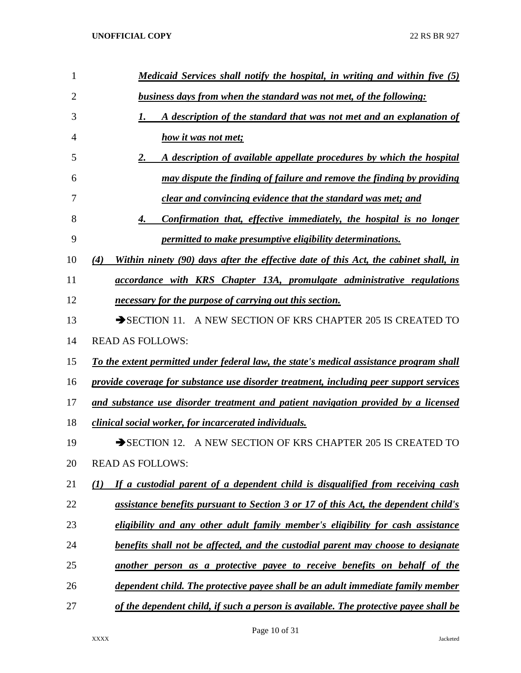| 1              | Medicaid Services shall notify the hospital, in writing and within five (5)                |
|----------------|--------------------------------------------------------------------------------------------|
| $\overline{2}$ | business days from when the standard was not met, of the following:                        |
| 3              | A description of the standard that was not met and an explanation of                       |
| 4              | how it was not met;                                                                        |
| 5              | A description of available appellate procedures by which the hospital<br>2.                |
| 6              | may dispute the finding of failure and remove the finding by providing                     |
| 7              | clear and convincing evidence that the standard was met; and                               |
| 8              | Confirmation that, effective immediately, the hospital is no longer<br>4.                  |
| 9              | permitted to make presumptive eligibility determinations.                                  |
| 10             | Within ninety (90) days after the effective date of this Act, the cabinet shall, in<br>(4) |
| 11             | accordance with KRS Chapter 13A, promulgate administrative regulations                     |
| 12             | necessary for the purpose of carrying out this section.                                    |
| 13             | SECTION 11. A NEW SECTION OF KRS CHAPTER 205 IS CREATED TO                                 |
| 14             | <b>READ AS FOLLOWS:</b>                                                                    |
| 15             | To the extent permitted under federal law, the state's medical assistance program shall    |
| 16             | provide coverage for substance use disorder treatment, including peer support services     |
| 17             | and substance use disorder treatment and patient navigation provided by a licensed         |
| 18             | clinical social worker, for incarcerated individuals.                                      |
| 19             | SECTION 12. A NEW SECTION OF KRS CHAPTER 205 IS CREATED TO                                 |
| 20             | <b>READ AS FOLLOWS:</b>                                                                    |
| 21             | If a custodial parent of a dependent child is disqualified from receiving cash<br>(I)      |
| 22             | <u>assistance benefits pursuant to Section 3 or 17 of this Act, the dependent child's</u>  |
| 23             | eligibility and any other adult family member's eligibility for cash assistance            |
| 24             | benefits shall not be affected, and the custodial parent may choose to designate           |
| 25             | <u>another person as a protective payee to receive benefits on behalf of the</u>           |
| 26             | <u>dependent child. The protective payee shall be an adult immediate family member</u>     |
| 27             | of the dependent child, if such a person is available. The protective payee shall be       |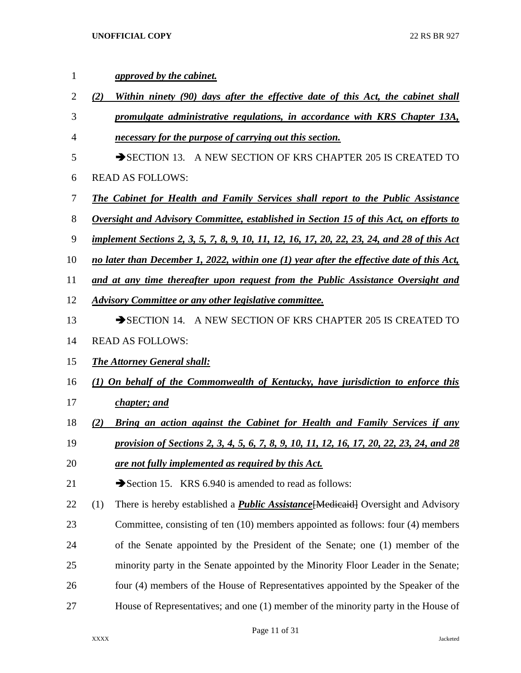| 1              |     | approved by the cabinet.                                                                           |
|----------------|-----|----------------------------------------------------------------------------------------------------|
| $\overline{2}$ | (2) | Within ninety (90) days after the effective date of this Act, the cabinet shall                    |
| 3              |     | promulgate administrative regulations, in accordance with KRS Chapter 13A,                         |
| 4              |     | necessary for the purpose of carrying out this section.                                            |
| 5              |     | SECTION 13. A NEW SECTION OF KRS CHAPTER 205 IS CREATED TO                                         |
| 6              |     | <b>READ AS FOLLOWS:</b>                                                                            |
| 7              |     | <b>The Cabinet for Health and Family Services shall report to the Public Assistance</b>            |
| 8              |     | <b>Oversight and Advisory Committee, established in Section 15 of this Act, on efforts to</b>      |
| 9              |     | <u>implement Sections 2, 3, 5, 7, 8, 9, 10, 11, 12, 16, 17, 20, 22, 23, 24, and 28 of this Act</u> |
| 10             |     | no later than December 1, 2022, within one (1) year after the effective date of this Act,          |
| 11             |     | and at any time thereafter upon request from the Public Assistance Oversight and                   |
| 12             |     | <b>Advisory Committee or any other legislative committee.</b>                                      |
| 13             |     | SECTION 14. A NEW SECTION OF KRS CHAPTER 205 IS CREATED TO                                         |
| 14             |     | <b>READ AS FOLLOWS:</b>                                                                            |
| 15             |     | <b>The Attorney General shall:</b>                                                                 |
| 16             |     | (1) On behalf of the Commonwealth of Kentucky, have jurisdiction to enforce this                   |
| 17             |     | chapter; and                                                                                       |
| 18             | (2) | <b>Bring an action against the Cabinet for Health and Family Services if any</b>                   |
| 19             |     | provision of Sections 2, 3, 4, 5, 6, 7, 8, 9, 10, 11, 12, 16, 17, 20, 22, 23, 24, and 28           |
| 20             |     | are not fully implemented as required by this Act.                                                 |
| 21             |     | Section 15. KRS 6.940 is amended to read as follows:                                               |
| 22             | (1) | There is hereby established a <b>Public Assistance</b> [Medicaid] Oversight and Advisory           |
| 23             |     | Committee, consisting of ten (10) members appointed as follows: four (4) members                   |
| 24             |     | of the Senate appointed by the President of the Senate; one (1) member of the                      |
| 25             |     | minority party in the Senate appointed by the Minority Floor Leader in the Senate;                 |
| 26             |     | four (4) members of the House of Representatives appointed by the Speaker of the                   |
| 27             |     | House of Representatives; and one (1) member of the minority party in the House of                 |

Page 11 of 31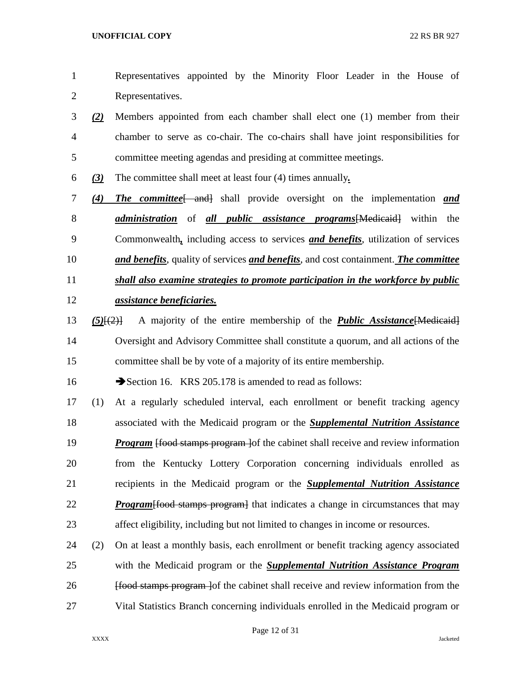- Representatives appointed by the Minority Floor Leader in the House of Representatives.
- *(2)* Members appointed from each chamber shall elect one (1) member from their chamber to serve as co-chair. The co-chairs shall have joint responsibilities for committee meeting agendas and presiding at committee meetings.
- *(3)* The committee shall meet at least four (4) times annually*.*
- *(4) The committee*[ and] shall provide oversight on the implementation *and administration* of *all public assistance programs*[Medicaid] within the Commonwealth*,* including access to services *and benefits*, utilization of services *and benefits*, quality of services *and benefits*, and cost containment. *The committee shall also examine strategies to promote participation in the workforce by public assistance beneficiaries.*
- *(5)*[(2)] A majority of the entire membership of the *Public Assistance*[Medicaid] Oversight and Advisory Committee shall constitute a quorum, and all actions of the committee shall be by vote of a majority of its entire membership.

16 Section 16. KRS 205.178 is amended to read as follows:

 (1) At a regularly scheduled interval, each enrollment or benefit tracking agency associated with the Medicaid program or the *Supplemental Nutrition Assistance Program* [food stamps program ] of the cabinet shall receive and review information from the Kentucky Lottery Corporation concerning individuals enrolled as recipients in the Medicaid program or the *Supplemental Nutrition Assistance Program* [food stamps program] that indicates a change in circumstances that may affect eligibility, including but not limited to changes in income or resources.

 (2) On at least a monthly basis, each enrollment or benefit tracking agency associated with the Medicaid program or the *Supplemental Nutrition Assistance Program* **Ifood stamps program** lof the cabinet shall receive and review information from the Vital Statistics Branch concerning individuals enrolled in the Medicaid program or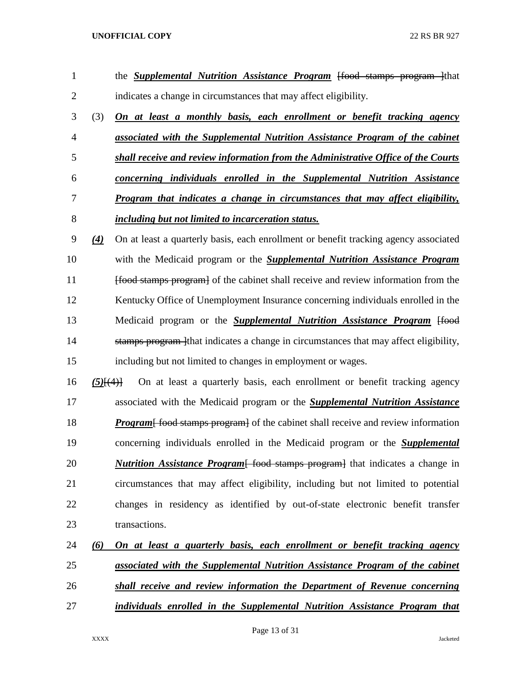| $\mathbf{1}$   |                   | the <b>Supplemental Nutrition Assistance Program</b> (food stamps program (that               |
|----------------|-------------------|-----------------------------------------------------------------------------------------------|
| $\overline{2}$ |                   | indicates a change in circumstances that may affect eligibility.                              |
| 3              | (3)               | On at least a monthly basis, each enrollment or benefit tracking agency                       |
| $\overline{4}$ |                   | associated with the Supplemental Nutrition Assistance Program of the cabinet                  |
| 5              |                   | shall receive and review information from the Administrative Office of the Courts             |
| 6              |                   | concerning individuals enrolled in the Supplemental Nutrition Assistance                      |
| 7              |                   | Program that indicates a change in circumstances that may affect eligibility,                 |
| 8              |                   | including but not limited to incarceration status.                                            |
| 9              | $\left( 4\right)$ | On at least a quarterly basis, each enrollment or benefit tracking agency associated          |
| 10             |                   | with the Medicaid program or the <b>Supplemental Nutrition Assistance Program</b>             |
| 11             |                   | <del>[food stamps program]</del> of the cabinet shall receive and review information from the |
| 12             |                   | Kentucky Office of Unemployment Insurance concerning individuals enrolled in the              |
| 13             |                   | Medicaid program or the <b>Supplemental Nutrition Assistance Program</b> [food                |
| 14             |                   | stamps program lthat indicates a change in circumstances that may affect eligibility,         |
| 15             |                   | including but not limited to changes in employment or wages.                                  |
| 16             | $(5)$ $\{4\}$     | On at least a quarterly basis, each enrollment or benefit tracking agency                     |
| 17             |                   | associated with the Medicaid program or the <b>Supplemental Nutrition Assistance</b>          |
| 18             |                   | <b>Program</b> food stamps program of the cabinet shall receive and review information        |
| 19             |                   | concerning individuals enrolled in the Medicaid program or the <b>Supplemental</b>            |
| 20             |                   | <b>Nutrition Assistance Program</b> food stamps program that indicates a change in            |
| 21             |                   | circumstances that may affect eligibility, including but not limited to potential             |
| 22             |                   | changes in residency as identified by out-of-state electronic benefit transfer                |
| 23             |                   | transactions.                                                                                 |
| 24             | (6)               | On at least a quarterly basis, each enrollment or benefit tracking agency                     |
| 25             |                   | <u>associated with the Supplemental Nutrition Assistance Program of the cabinet</u>           |
| 26             |                   | shall receive and review information the Department of Revenue concerning                     |
|                |                   |                                                                                               |

*individuals enrolled in the Supplemental Nutrition Assistance Program that* 

Page 13 of 31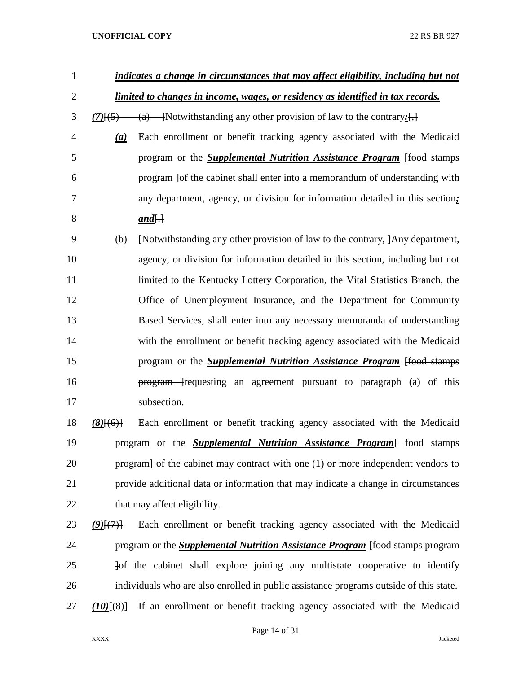| $\mathbf{1}$   |                              | indicates a change in circumstances that may affect eligibility, including but not     |
|----------------|------------------------------|----------------------------------------------------------------------------------------|
| $\overline{2}$ |                              | limited to changes in income, wages, or residency as identified in tax records.        |
| 3              |                              | $\frac{(7)}{5}$ (a) - Notwithstanding any other provision of law to the contrary:      |
| $\overline{4}$ | $\left(\underline{a}\right)$ | Each enrollment or benefit tracking agency associated with the Medicaid                |
| 5              |                              | program or the <b>Supplemental Nutrition Assistance Program</b> [food stamps           |
| 6              |                              | program lof the cabinet shall enter into a memorandum of understanding with            |
| 7              |                              | any department, agency, or division for information detailed in this section;          |
| 8              |                              | $and[\cdot]$                                                                           |
| 9              | (b)                          | [Notwithstanding any other provision of law to the contrary, ]Any department,          |
| 10             |                              | agency, or division for information detailed in this section, including but not        |
| 11             |                              | limited to the Kentucky Lottery Corporation, the Vital Statistics Branch, the          |
| 12             |                              | Office of Unemployment Insurance, and the Department for Community                     |
| 13             |                              | Based Services, shall enter into any necessary memoranda of understanding              |
| 14             |                              | with the enrollment or benefit tracking agency associated with the Medicaid            |
| 15             |                              | program or the <b>Supplemental Nutrition Assistance Program</b> [food stamps]          |
| 16             |                              | program - requesting an agreement pursuant to paragraph (a) of this                    |
| 17             |                              | subsection.                                                                            |
| 18             | $(8)$ [(6)]                  | Each enrollment or benefit tracking agency associated with the Medicaid                |
| 19             |                              | program or the <b>Supplemental Nutrition Assistance Program</b> [ food stamps          |
| 20             |                              | program of the cabinet may contract with one (1) or more independent vendors to        |
| 21             |                              | provide additional data or information that may indicate a change in circumstances     |
| 22             |                              | that may affect eligibility.                                                           |
| 23             | (9)(7)                       | Each enrollment or benefit tracking agency associated with the Medicaid                |
| 24             |                              | program or the <b>Supplemental Nutrition Assistance Program</b> [food stamps program   |
| 25             |                              | Jof the cabinet shall explore joining any multistate cooperative to identify           |
| 26             |                              | individuals who are also enrolled in public assistance programs outside of this state. |
| 27             |                              | $(10)(8)$ If an enrollment or benefit tracking agency associated with the Medicaid     |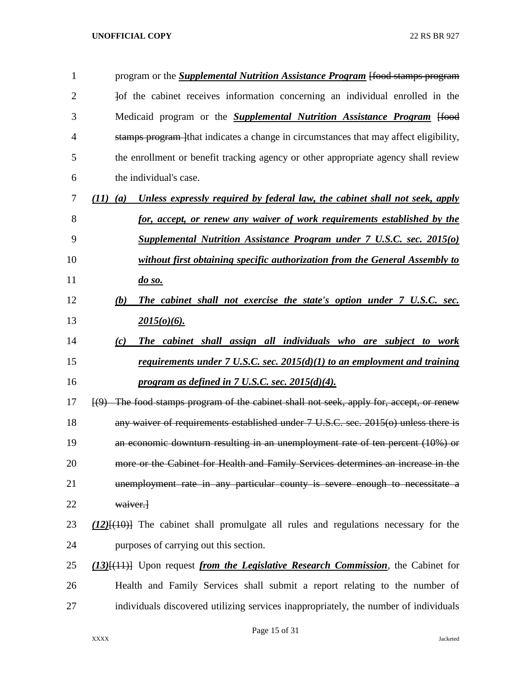| $\mathbf{1}$   | program or the <b>Supplemental Nutrition Assistance Program</b> [food stamps program                   |
|----------------|--------------------------------------------------------------------------------------------------------|
| $\overline{2}$ | Jof the cabinet receives information concerning an individual enrolled in the                          |
| 3              | Medicaid program or the <b>Supplemental Nutrition Assistance Program</b> [food                         |
| 4              | stamps program lthat indicates a change in circumstances that may affect eligibility,                  |
| 5              | the enrollment or benefit tracking agency or other appropriate agency shall review                     |
| 6              | the individual's case.                                                                                 |
| 7              | Unless expressly required by federal law, the cabinet shall not seek, apply<br>$(11)$ $(a)$            |
| 8              | for, accept, or renew any waiver of work requirements established by the                               |
| 9              | <b>Supplemental Nutrition Assistance Program under 7 U.S.C. sec. 2015(0)</b>                           |
| 10             | without first obtaining specific authorization from the General Assembly to                            |
| 11             | $\frac{do \, so. }{$                                                                                   |
| 12             | The cabinet shall not exercise the state's option under 7 U.S.C. sec.<br>(b)                           |
| 13             | $2015(o)(6)$ .                                                                                         |
| 14             | The cabinet shall assign all individuals who are subject to work<br>(c)                                |
| 15             | requirements under $7 \text{ U.S.C. sec. } 2015(d)(1)$ to an employment and training                   |
| 16             | program as defined in 7 U.S.C. sec. 2015(d)(4).                                                        |
| 17             | $(9)$ The food stamps program of the cabinet shall not seek, apply for, accept, or renew               |
| 18             | any waiver of requirements established under 7 U.S.C. sec. 2015(o) unless there is                     |
| 19             | an economic downturn resulting in an unemployment rate of ten percent (10%) or                         |
| 20             | more or the Cabinet for Health and Family Services determines an increase in the                       |
| 21             | unemployment rate in any particular county is severe enough to necessitate a                           |
| 22             | waiver.                                                                                                |
| 23             | $(12)$ { $(10)$ } The cabinet shall promulgate all rules and regulations necessary for the             |
| 24             | purposes of carrying out this section.                                                                 |
| 25             | (13) <sup>[(11)</sup> ] Upon request <i>from the Legislative Research Commission</i> , the Cabinet for |
| 26             | Health and Family Services shall submit a report relating to the number of                             |
| 27             | individuals discovered utilizing services inappropriately, the number of individuals                   |

Page 15 of 31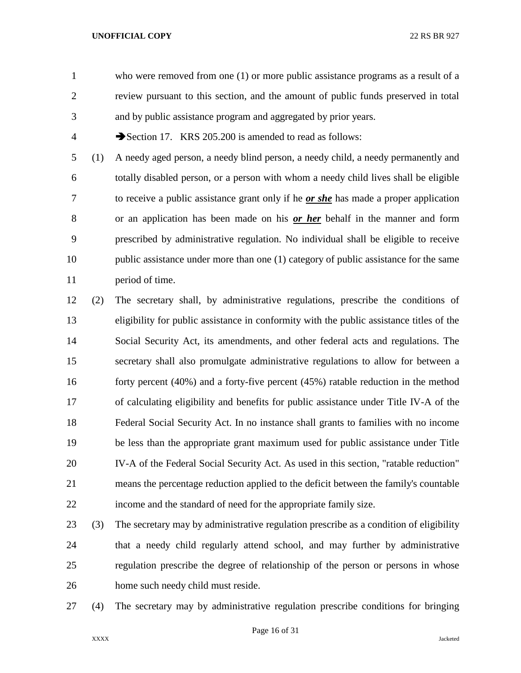who were removed from one (1) or more public assistance programs as a result of a review pursuant to this section, and the amount of public funds preserved in total and by public assistance program and aggregated by prior years.

4 Section 17. KRS 205.200 is amended to read as follows:

 (1) A needy aged person, a needy blind person, a needy child, a needy permanently and totally disabled person, or a person with whom a needy child lives shall be eligible to receive a public assistance grant only if he *or she* has made a proper application or an application has been made on his *or her* behalf in the manner and form prescribed by administrative regulation. No individual shall be eligible to receive 10 public assistance under more than one (1) category of public assistance for the same period of time.

 (2) The secretary shall, by administrative regulations, prescribe the conditions of eligibility for public assistance in conformity with the public assistance titles of the Social Security Act, its amendments, and other federal acts and regulations. The secretary shall also promulgate administrative regulations to allow for between a forty percent (40%) and a forty-five percent (45%) ratable reduction in the method of calculating eligibility and benefits for public assistance under Title IV-A of the Federal Social Security Act. In no instance shall grants to families with no income be less than the appropriate grant maximum used for public assistance under Title IV-A of the Federal Social Security Act. As used in this section, "ratable reduction" means the percentage reduction applied to the deficit between the family's countable income and the standard of need for the appropriate family size.

- (3) The secretary may by administrative regulation prescribe as a condition of eligibility that a needy child regularly attend school, and may further by administrative regulation prescribe the degree of relationship of the person or persons in whose home such needy child must reside.
- 

(4) The secretary may by administrative regulation prescribe conditions for bringing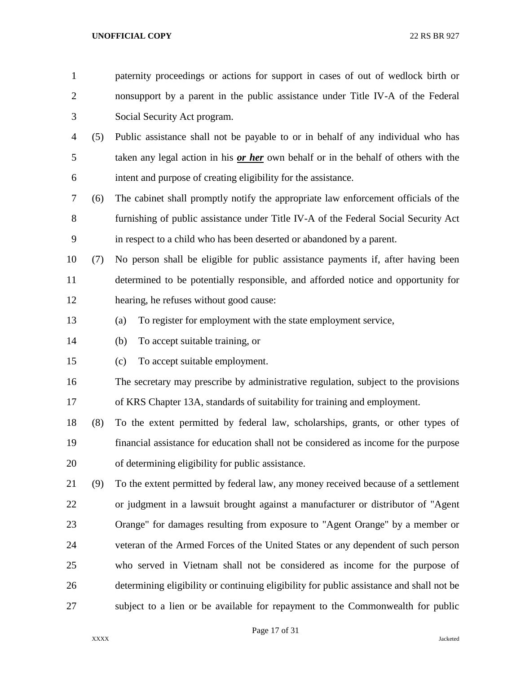| $\mathbf{1}$   |     | paternity proceedings or actions for support in cases of out of wedlock birth or         |
|----------------|-----|------------------------------------------------------------------------------------------|
| $\overline{2}$ |     | nonsupport by a parent in the public assistance under Title IV-A of the Federal          |
| 3              |     | Social Security Act program.                                                             |
| 4              | (5) | Public assistance shall not be payable to or in behalf of any individual who has         |
| 5              |     | taken any legal action in his or her own behalf or in the behalf of others with the      |
| 6              |     | intent and purpose of creating eligibility for the assistance.                           |
| 7              | (6) | The cabinet shall promptly notify the appropriate law enforcement officials of the       |
| 8              |     | furnishing of public assistance under Title IV-A of the Federal Social Security Act      |
| 9              |     | in respect to a child who has been deserted or abandoned by a parent.                    |
| 10             | (7) | No person shall be eligible for public assistance payments if, after having been         |
| 11             |     | determined to be potentially responsible, and afforded notice and opportunity for        |
| 12             |     | hearing, he refuses without good cause:                                                  |
| 13             |     | To register for employment with the state employment service,<br>(a)                     |
| 14             |     | To accept suitable training, or<br>(b)                                                   |
| 15             |     | To accept suitable employment.<br>(c)                                                    |
| 16             |     | The secretary may prescribe by administrative regulation, subject to the provisions      |
| 17             |     | of KRS Chapter 13A, standards of suitability for training and employment.                |
| 18             | (8) | To the extent permitted by federal law, scholarships, grants, or other types of          |
| 19             |     | financial assistance for education shall not be considered as income for the purpose     |
| 20             |     | of determining eligibility for public assistance.                                        |
| 21             | (9) | To the extent permitted by federal law, any money received because of a settlement       |
| 22             |     | or judgment in a lawsuit brought against a manufacturer or distributor of "Agent         |
| 23             |     | Orange" for damages resulting from exposure to "Agent Orange" by a member or             |
| 24             |     | veteran of the Armed Forces of the United States or any dependent of such person         |
| 25             |     | who served in Vietnam shall not be considered as income for the purpose of               |
| 26             |     | determining eligibility or continuing eligibility for public assistance and shall not be |
| 27             |     | subject to a lien or be available for repayment to the Commonwealth for public           |

Page 17 of 31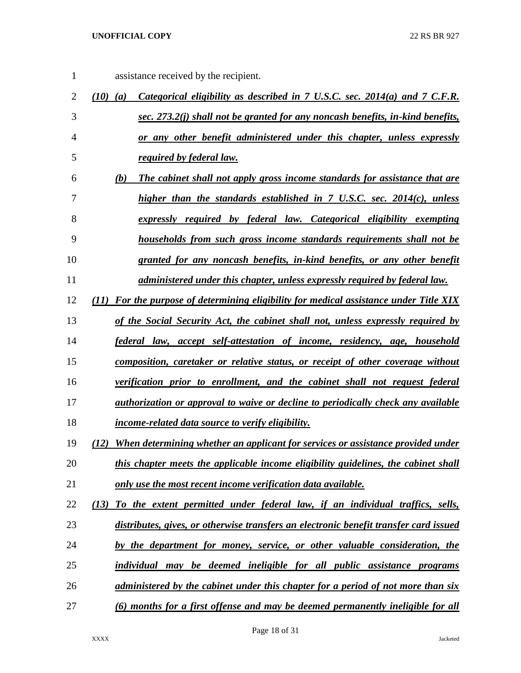assistance received by the recipient.

| $\overline{2}$ | Categorical eligibility as described in 7 U.S.C. sec. 2014(a) and 7 C.F.R.<br>$(10)$ $(a)$ |
|----------------|--------------------------------------------------------------------------------------------|
| 3              | sec. 273.2(j) shall not be granted for any noncash benefits, in-kind benefits,             |
| 4              | or any other benefit administered under this chapter, unless expressly                     |
| 5              | required by federal law.                                                                   |
| 6              | (b)<br>The cabinet shall not apply gross income standards for assistance that are          |
| 7              | higher than the standards established in 7 U.S.C. sec. 2014(c), unless                     |
| 8              | expressly required by federal law. Categorical eligibility exempting                       |
| 9              | <u>households from such gross income standards requirements shall not be</u>               |
| 10             | granted for any noncash benefits, in-kind benefits, or any other benefit                   |
| 11             | administered under this chapter, unless expressly required by federal law.                 |
| 12             | (11) For the purpose of determining eligibility for medical assistance under Title XIX     |
| 13             | of the Social Security Act, the cabinet shall not, unless expressly required by            |
| 14             | <u>federal law, accept self-attestation of income, residency, age, household</u>           |
| 15             | composition, caretaker or relative status, or receipt of other coverage without            |
| 16             | verification prior to enrollment, and the cabinet shall not request federal                |
| 17             | <i>authorization or approval to waive or decline to periodically check any available</i>   |
| 18             | <i>income-related data source to verify eligibility.</i>                                   |
| 19             | When determining whether an applicant for services or assistance provided under<br>(12)    |
| 20             | this chapter meets the applicable income eligibility guidelines, the cabinet shall         |
| 21             | only use the most recent income verification data available.                               |
| 22             | To the extent permitted under federal law, if an individual traffics, sells,<br>(13)       |
| 23             | distributes, gives, or otherwise transfers an electronic benefit transfer card issued      |
| 24             | by the department for money, service, or other valuable consideration, the                 |
| 25             | individual may be deemed ineligible for all public assistance programs                     |
| 26             | administered by the cabinet under this chapter for a period of not more than six           |
| 27             | (6) months for a first offense and may be deemed permanently ineligible for all            |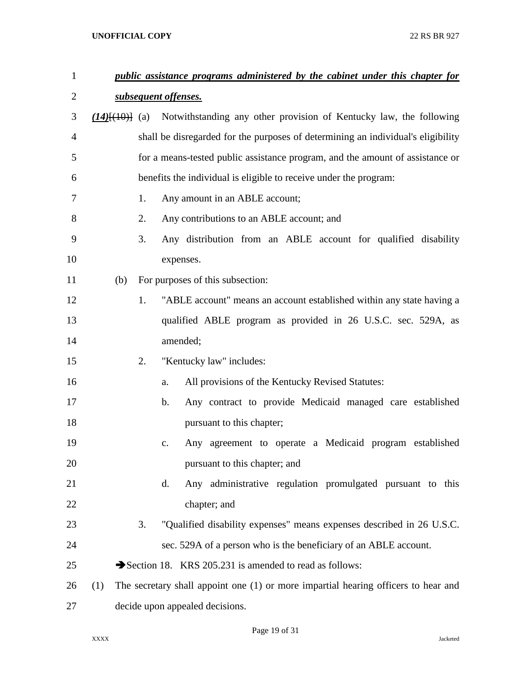| $\mathbf{1}$   |     |    | public assistance programs administered by the cabinet under this chapter for            |
|----------------|-----|----|------------------------------------------------------------------------------------------|
| $\overline{2}$ |     |    | subsequent offenses.                                                                     |
| 3              |     |    | $(14)$ [ $(10)$ ] (a) Notwithstanding any other provision of Kentucky law, the following |
| 4              |     |    | shall be disregarded for the purposes of determining an individual's eligibility         |
| 5              |     |    | for a means-tested public assistance program, and the amount of assistance or            |
| 6              |     |    | benefits the individual is eligible to receive under the program:                        |
| 7              |     | 1. | Any amount in an ABLE account;                                                           |
| 8              |     | 2. | Any contributions to an ABLE account; and                                                |
| 9              |     | 3. | Any distribution from an ABLE account for qualified disability                           |
| 10             |     |    | expenses.                                                                                |
| 11             | (b) |    | For purposes of this subsection:                                                         |
| 12             |     | 1. | "ABLE account" means an account established within any state having a                    |
| 13             |     |    | qualified ABLE program as provided in 26 U.S.C. sec. 529A, as                            |
| 14             |     |    | amended;                                                                                 |
| 15             |     | 2. | "Kentucky law" includes:                                                                 |
| 16             |     |    | All provisions of the Kentucky Revised Statutes:<br>a.                                   |
| 17             |     |    | Any contract to provide Medicaid managed care established<br>b.                          |
| 18             |     |    | pursuant to this chapter;                                                                |
| 19             |     |    | Any agreement to operate a Medicaid program established<br>$C_{\bullet}$                 |
| 20             |     |    | pursuant to this chapter; and                                                            |
| 21             |     |    | Any administrative regulation promulgated pursuant to this<br>d.                         |
| 22             |     |    | chapter; and                                                                             |
| 23             |     | 3. | "Qualified disability expenses" means expenses described in 26 U.S.C.                    |
| 24             |     |    | sec. 529A of a person who is the beneficiary of an ABLE account.                         |
| 25             |     |    | Section 18. KRS 205.231 is amended to read as follows:                                   |
| 26             | (1) |    | The secretary shall appoint one (1) or more impartial hearing officers to hear and       |
| 27             |     |    | decide upon appealed decisions.                                                          |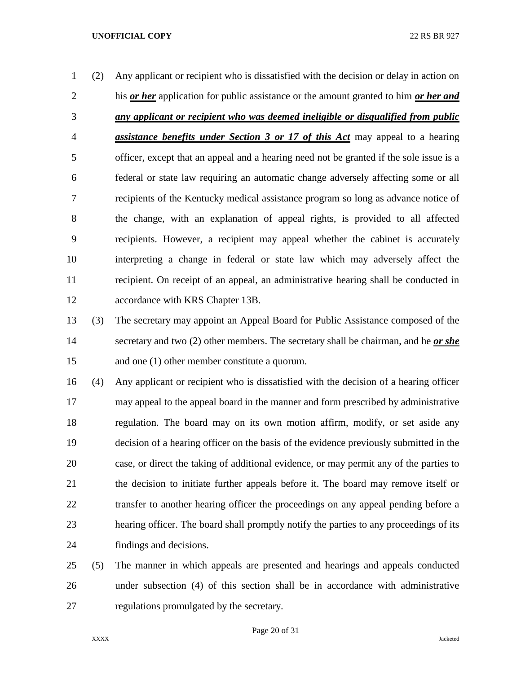- (2) Any applicant or recipient who is dissatisfied with the decision or delay in action on his *or her* application for public assistance or the amount granted to him *or her and any applicant or recipient who was deemed ineligible or disqualified from public assistance benefits under Section 3 or 17 of this Act* may appeal to a hearing officer, except that an appeal and a hearing need not be granted if the sole issue is a federal or state law requiring an automatic change adversely affecting some or all recipients of the Kentucky medical assistance program so long as advance notice of the change, with an explanation of appeal rights, is provided to all affected recipients. However, a recipient may appeal whether the cabinet is accurately interpreting a change in federal or state law which may adversely affect the recipient. On receipt of an appeal, an administrative hearing shall be conducted in accordance with KRS Chapter 13B.
- (3) The secretary may appoint an Appeal Board for Public Assistance composed of the secretary and two (2) other members. The secretary shall be chairman, and he *or she* and one (1) other member constitute a quorum.
- (4) Any applicant or recipient who is dissatisfied with the decision of a hearing officer may appeal to the appeal board in the manner and form prescribed by administrative regulation. The board may on its own motion affirm, modify, or set aside any decision of a hearing officer on the basis of the evidence previously submitted in the case, or direct the taking of additional evidence, or may permit any of the parties to the decision to initiate further appeals before it. The board may remove itself or transfer to another hearing officer the proceedings on any appeal pending before a hearing officer. The board shall promptly notify the parties to any proceedings of its findings and decisions.
- (5) The manner in which appeals are presented and hearings and appeals conducted under subsection (4) of this section shall be in accordance with administrative regulations promulgated by the secretary.

Page 20 of 31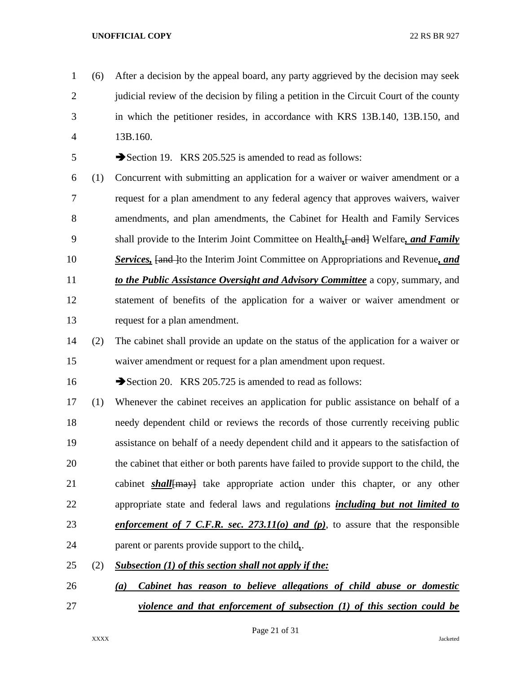(6) After a decision by the appeal board, any party aggrieved by the decision may seek 2 judicial review of the decision by filing a petition in the Circuit Court of the county in which the petitioner resides, in accordance with KRS 13B.140, 13B.150, and 13B.160.

5 Section 19. KRS 205.525 is amended to read as follows:

- (1) Concurrent with submitting an application for a waiver or waiver amendment or a request for a plan amendment to any federal agency that approves waivers, waiver amendments, and plan amendments, the Cabinet for Health and Family Services shall provide to the Interim Joint Committee on Health*,*[ and] Welfare*, and Family*  **Services, [and ]to the Interim Joint Committee on Appropriations and Revenue, and**  *to the Public Assistance Oversight and Advisory Committee* a copy, summary, and statement of benefits of the application for a waiver or waiver amendment or request for a plan amendment.
- (2) The cabinet shall provide an update on the status of the application for a waiver or waiver amendment or request for a plan amendment upon request.

16 Section 20. KRS 205.725 is amended to read as follows:

- (1) Whenever the cabinet receives an application for public assistance on behalf of a needy dependent child or reviews the records of those currently receiving public assistance on behalf of a needy dependent child and it appears to the satisfaction of the cabinet that either or both parents have failed to provide support to the child, the cabinet *shall*[may] take appropriate action under this chapter, or any other appropriate state and federal laws and regulations *including but not limited to enforcement of 7 C.F.R. sec. 273.11(o) and (p)*, to assure that the responsible parent or parents provide support to the child*,*.
- (2) *Subsection (1) of this section shall not apply if the:*
- *(a) Cabinet has reason to believe allegations of child abuse or domestic violence and that enforcement of subsection (1) of this section could be*

Page 21 of 31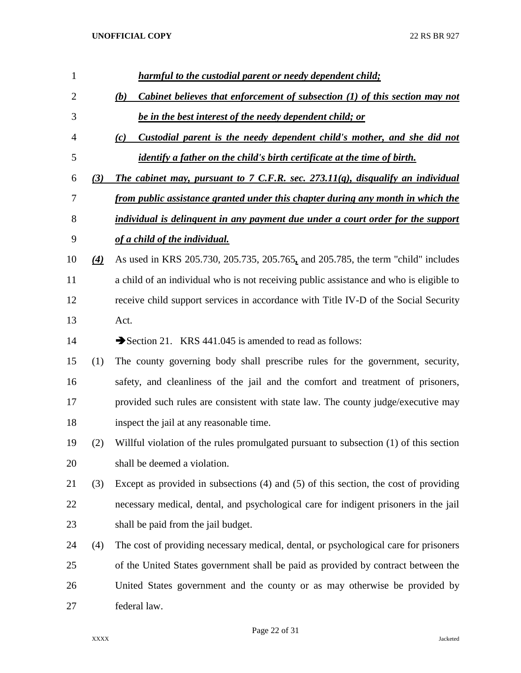| 1              |                   | harmful to the custodial parent or needy dependent child;                                    |
|----------------|-------------------|----------------------------------------------------------------------------------------------|
| $\overline{2}$ |                   | Cabinet believes that enforcement of subsection (1) of this section may not<br>(b)           |
| 3              |                   | be in the best interest of the needy dependent child; or                                     |
| 4              |                   | Custodial parent is the needy dependent child's mother, and she did not<br>$\left( c\right)$ |
| 5              |                   | <i>identify a father on the child's birth certificate at the time of birth.</i>              |
| 6              | (3)               | The cabinet may, pursuant to $7$ C.F.R. sec. $273.11(q)$ , disqualify an individual          |
| 7              |                   | from public assistance granted under this chapter during any month in which the              |
| 8              |                   | individual is delinguent in any payment due under a court order for the support              |
| 9              |                   | of a child of the individual.                                                                |
| 10             | $\left( 4\right)$ | As used in KRS 205.730, 205.735, 205.765, and 205.785, the term "child" includes             |
| 11             |                   | a child of an individual who is not receiving public assistance and who is eligible to       |
| 12             |                   | receive child support services in accordance with Title IV-D of the Social Security          |
| 13             |                   | Act.                                                                                         |
| 14             |                   | Section 21. KRS 441.045 is amended to read as follows:                                       |
| 15             | (1)               | The county governing body shall prescribe rules for the government, security,                |
| 16             |                   | safety, and cleanliness of the jail and the comfort and treatment of prisoners,              |
| 17             |                   | provided such rules are consistent with state law. The county judge/executive may            |
| 18             |                   | inspect the jail at any reasonable time.                                                     |
| 19             | (2)               | Willful violation of the rules promulgated pursuant to subsection (1) of this section        |
| 20             |                   | shall be deemed a violation.                                                                 |
| 21             | (3)               | Except as provided in subsections $(4)$ and $(5)$ of this section, the cost of providing     |
| 22             |                   | necessary medical, dental, and psychological care for indigent prisoners in the jail         |
| 23             |                   | shall be paid from the jail budget.                                                          |
| 24             | (4)               | The cost of providing necessary medical, dental, or psychological care for prisoners         |
| 25             |                   | of the United States government shall be paid as provided by contract between the            |
| 26             |                   | United States government and the county or as may otherwise be provided by                   |
| 27             |                   | federal law.                                                                                 |

Page 22 of 31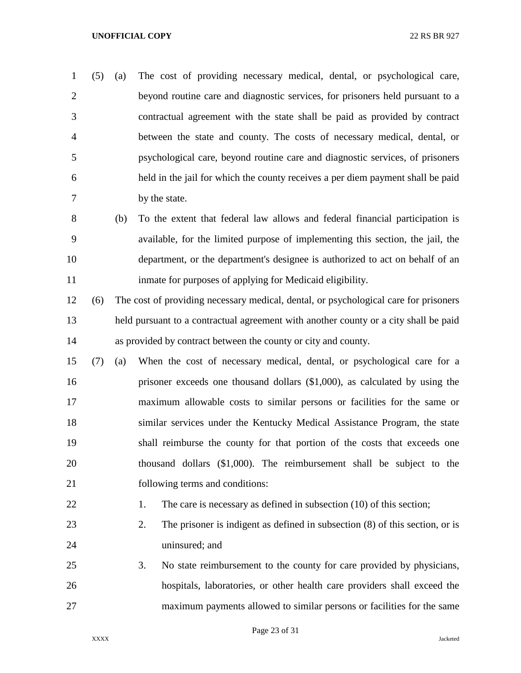(5) (a) The cost of providing necessary medical, dental, or psychological care, beyond routine care and diagnostic services, for prisoners held pursuant to a contractual agreement with the state shall be paid as provided by contract between the state and county. The costs of necessary medical, dental, or psychological care, beyond routine care and diagnostic services, of prisoners held in the jail for which the county receives a per diem payment shall be paid by the state.

- (b) To the extent that federal law allows and federal financial participation is available, for the limited purpose of implementing this section, the jail, the department, or the department's designee is authorized to act on behalf of an inmate for purposes of applying for Medicaid eligibility.
- (6) The cost of providing necessary medical, dental, or psychological care for prisoners held pursuant to a contractual agreement with another county or a city shall be paid as provided by contract between the county or city and county.
- (7) (a) When the cost of necessary medical, dental, or psychological care for a prisoner exceeds one thousand dollars (\$1,000), as calculated by using the maximum allowable costs to similar persons or facilities for the same or similar services under the Kentucky Medical Assistance Program, the state shall reimburse the county for that portion of the costs that exceeds one thousand dollars (\$1,000). The reimbursement shall be subject to the following terms and conditions:
- 

# 22 1. The care is necessary as defined in subsection (10) of this section;

- 2. The prisoner is indigent as defined in subsection (8) of this section, or is uninsured; and
- 3. No state reimbursement to the county for care provided by physicians, hospitals, laboratories, or other health care providers shall exceed the maximum payments allowed to similar persons or facilities for the same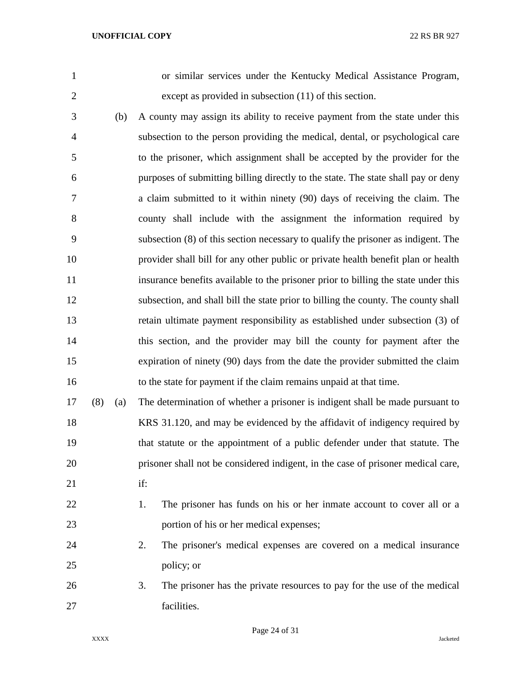or similar services under the Kentucky Medical Assistance Program, except as provided in subsection (11) of this section.

 (b) A county may assign its ability to receive payment from the state under this subsection to the person providing the medical, dental, or psychological care to the prisoner, which assignment shall be accepted by the provider for the purposes of submitting billing directly to the state. The state shall pay or deny a claim submitted to it within ninety (90) days of receiving the claim. The county shall include with the assignment the information required by subsection (8) of this section necessary to qualify the prisoner as indigent. The provider shall bill for any other public or private health benefit plan or health insurance benefits available to the prisoner prior to billing the state under this subsection, and shall bill the state prior to billing the county. The county shall retain ultimate payment responsibility as established under subsection (3) of this section, and the provider may bill the county for payment after the expiration of ninety (90) days from the date the provider submitted the claim to the state for payment if the claim remains unpaid at that time.

 (8) (a) The determination of whether a prisoner is indigent shall be made pursuant to KRS 31.120, and may be evidenced by the affidavit of indigency required by that statute or the appointment of a public defender under that statute. The prisoner shall not be considered indigent, in the case of prisoner medical care, if:

22 1. The prisoner has funds on his or her inmate account to cover all or a portion of his or her medical expenses;

# 2. The prisoner's medical expenses are covered on a medical insurance policy; or

 3. The prisoner has the private resources to pay for the use of the medical facilities.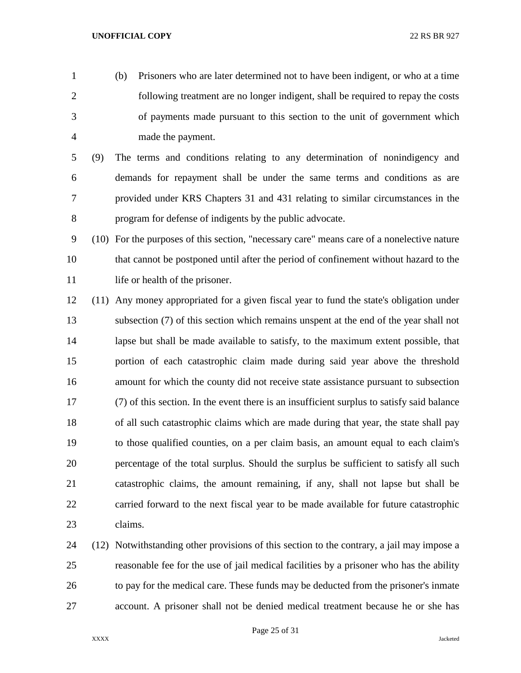- (b) Prisoners who are later determined not to have been indigent, or who at a time following treatment are no longer indigent, shall be required to repay the costs of payments made pursuant to this section to the unit of government which made the payment.
- (9) The terms and conditions relating to any determination of nonindigency and demands for repayment shall be under the same terms and conditions as are provided under KRS Chapters 31 and 431 relating to similar circumstances in the program for defense of indigents by the public advocate.
- (10) For the purposes of this section, "necessary care" means care of a nonelective nature that cannot be postponed until after the period of confinement without hazard to the 11 life or health of the prisoner.
- (11) Any money appropriated for a given fiscal year to fund the state's obligation under subsection (7) of this section which remains unspent at the end of the year shall not lapse but shall be made available to satisfy, to the maximum extent possible, that portion of each catastrophic claim made during said year above the threshold amount for which the county did not receive state assistance pursuant to subsection (7) of this section. In the event there is an insufficient surplus to satisfy said balance of all such catastrophic claims which are made during that year, the state shall pay to those qualified counties, on a per claim basis, an amount equal to each claim's percentage of the total surplus. Should the surplus be sufficient to satisfy all such catastrophic claims, the amount remaining, if any, shall not lapse but shall be carried forward to the next fiscal year to be made available for future catastrophic claims.
- (12) Notwithstanding other provisions of this section to the contrary, a jail may impose a reasonable fee for the use of jail medical facilities by a prisoner who has the ability to pay for the medical care. These funds may be deducted from the prisoner's inmate account. A prisoner shall not be denied medical treatment because he or she has

Page 25 of 31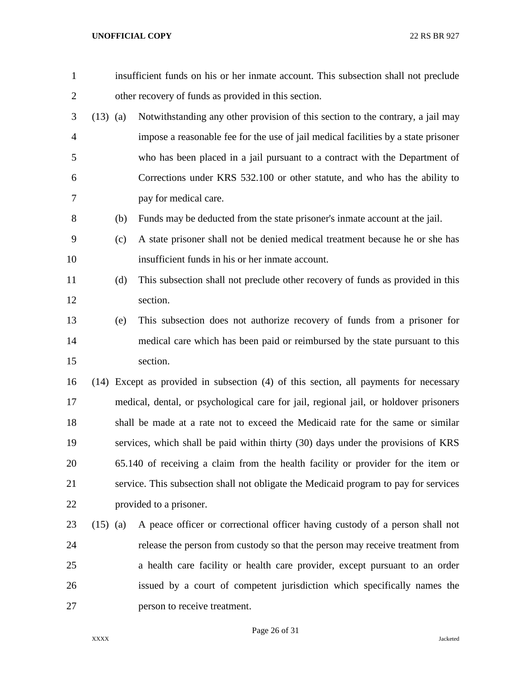| $\mathbf{1}$   |            |     | insufficient funds on his or her inmate account. This subsection shall not preclude   |
|----------------|------------|-----|---------------------------------------------------------------------------------------|
| $\overline{c}$ |            |     | other recovery of funds as provided in this section.                                  |
| 3              | $(13)$ (a) |     | Notwithstanding any other provision of this section to the contrary, a jail may       |
| $\overline{4}$ |            |     | impose a reasonable fee for the use of jail medical facilities by a state prisoner    |
| 5              |            |     | who has been placed in a jail pursuant to a contract with the Department of           |
| 6              |            |     | Corrections under KRS 532.100 or other statute, and who has the ability to            |
| 7              |            |     | pay for medical care.                                                                 |
| 8              |            | (b) | Funds may be deducted from the state prisoner's inmate account at the jail.           |
| 9              |            | (c) | A state prisoner shall not be denied medical treatment because he or she has          |
| 10             |            |     | insufficient funds in his or her inmate account.                                      |
| 11             |            | (d) | This subsection shall not preclude other recovery of funds as provided in this        |
| 12             |            |     | section.                                                                              |
| 13             |            | (e) | This subsection does not authorize recovery of funds from a prisoner for              |
| 14             |            |     | medical care which has been paid or reimbursed by the state pursuant to this          |
| 15             |            |     | section.                                                                              |
| 16             |            |     | (14) Except as provided in subsection (4) of this section, all payments for necessary |
| 17             |            |     | medical, dental, or psychological care for jail, regional jail, or holdover prisoners |
| 18             |            |     | shall be made at a rate not to exceed the Medicaid rate for the same or similar       |
| 19             |            |     | services, which shall be paid within thirty (30) days under the provisions of KRS     |
| 20             |            |     | 65.140 of receiving a claim from the health facility or provider for the item or      |
| 21             |            |     | service. This subsection shall not obligate the Medicaid program to pay for services  |
| 22             |            |     | provided to a prisoner.                                                               |
| 23             | $(15)$ (a) |     | A peace officer or correctional officer having custody of a person shall not          |
| 24             |            |     | release the person from custody so that the person may receive treatment from         |
| 25             |            |     | a health care facility or health care provider, except pursuant to an order           |
| 26             |            |     | issued by a court of competent jurisdiction which specifically names the              |
| 27             |            |     | person to receive treatment.                                                          |

Page 26 of 31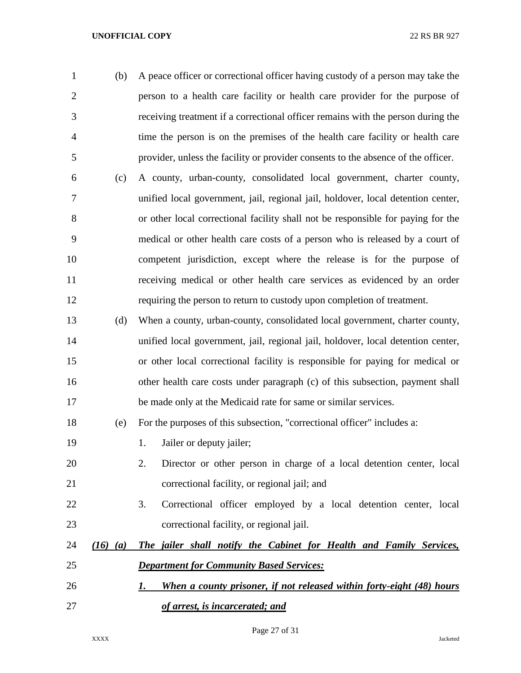| $\mathbf{1}$   | (b)          | A peace officer or correctional officer having custody of a person may take the   |
|----------------|--------------|-----------------------------------------------------------------------------------|
| $\overline{2}$ |              | person to a health care facility or health care provider for the purpose of       |
| 3              |              | receiving treatment if a correctional officer remains with the person during the  |
| $\overline{4}$ |              | time the person is on the premises of the health care facility or health care     |
| 5              |              | provider, unless the facility or provider consents to the absence of the officer. |
| 6              | (c)          | A county, urban-county, consolidated local government, charter county,            |
| 7              |              | unified local government, jail, regional jail, holdover, local detention center,  |
| 8              |              | or other local correctional facility shall not be responsible for paying for the  |
| 9              |              | medical or other health care costs of a person who is released by a court of      |
| 10             |              | competent jurisdiction, except where the release is for the purpose of            |
| 11             |              | receiving medical or other health care services as evidenced by an order          |
| 12             |              | requiring the person to return to custody upon completion of treatment.           |
| 13             | (d)          | When a county, urban-county, consolidated local government, charter county,       |
| 14             |              | unified local government, jail, regional jail, holdover, local detention center,  |
| 15             |              | or other local correctional facility is responsible for paying for medical or     |
| 16             |              | other health care costs under paragraph (c) of this subsection, payment shall     |
| 17             |              | be made only at the Medicaid rate for same or similar services.                   |
| 18             | (e)          | For the purposes of this subsection, "correctional officer" includes a:           |
| 19             |              | Jailer or deputy jailer;<br>1.                                                    |
| 20             |              | 2.<br>Director or other person in charge of a local detention center, local       |
| 21             |              | correctional facility, or regional jail; and                                      |
| 22             |              | 3.<br>Correctional officer employed by a local detention center, local            |
| 23             |              | correctional facility, or regional jail.                                          |
| 24             | $(16)$ $(a)$ | The jailer shall notify the Cabinet for Health and Family Services,               |
| 25             |              | <b>Department for Community Based Services:</b>                                   |
| 26             |              | When a county prisoner, if not released within forty-eight (48) hours<br>1.       |
| 27             |              | of arrest, is incarcerated; and                                                   |

Page 27 of 31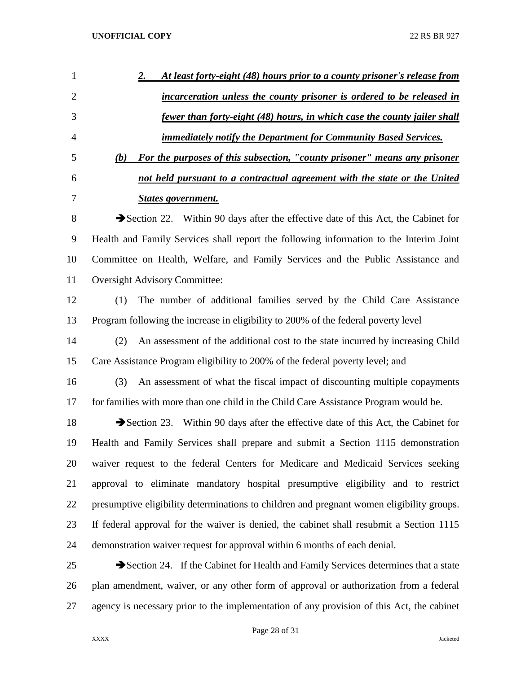| 1              | At least forty-eight (48) hours prior to a county prisoner's release from<br><u>2.</u>    |
|----------------|-------------------------------------------------------------------------------------------|
| $\overline{2}$ | incarceration unless the county prisoner is ordered to be released in                     |
| 3              | <u>fewer than forty-eight (48) hours, in which case the county jailer shall</u>           |
| 4              | <u><b>immediately notify the Department for Community Based Services.</b></u>             |
| 5              | For the purposes of this subsection, "county prisoner" means any prisoner<br>(b)          |
| 6              | not held pursuant to a contractual agreement with the state or the United                 |
| 7              | <b>States government.</b>                                                                 |
| 8              | Section 22. Within 90 days after the effective date of this Act, the Cabinet for          |
| 9              | Health and Family Services shall report the following information to the Interim Joint    |
| 10             | Committee on Health, Welfare, and Family Services and the Public Assistance and           |
| 11             | <b>Oversight Advisory Committee:</b>                                                      |
| 12             | The number of additional families served by the Child Care Assistance<br>(1)              |
| 13             | Program following the increase in eligibility to 200% of the federal poverty level        |
| 14             | (2)<br>An assessment of the additional cost to the state incurred by increasing Child     |
| 15             | Care Assistance Program eligibility to 200% of the federal poverty level; and             |
| 16             | An assessment of what the fiscal impact of discounting multiple copayments<br>(3)         |
| 17             | for families with more than one child in the Child Care Assistance Program would be.      |
| 18             | Section 23. Within 90 days after the effective date of this Act, the Cabinet for          |
| 19             | Health and Family Services shall prepare and submit a Section 1115 demonstration          |
| 20             | waiver request to the federal Centers for Medicare and Medicaid Services seeking          |
| 21             | approval to eliminate mandatory hospital presumptive eligibility and to restrict          |
| 22             | presumptive eligibility determinations to children and pregnant women eligibility groups. |
| 23             | If federal approval for the waiver is denied, the cabinet shall resubmit a Section 1115   |
| 24             | demonstration waiver request for approval within 6 months of each denial.                 |
| 25             | Section 24. If the Cabinet for Health and Family Services determines that a state         |
| 26             | plan amendment, waiver, or any other form of approval or authorization from a federal     |
| 27             | agency is necessary prior to the implementation of any provision of this Act, the cabinet |

Page 28 of 31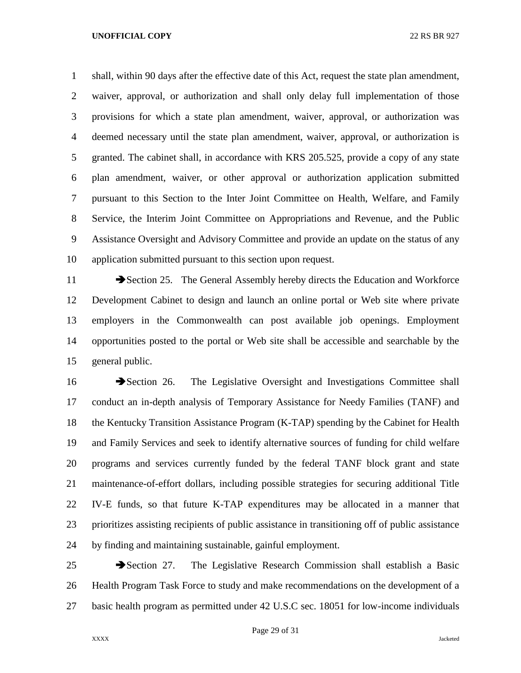shall, within 90 days after the effective date of this Act, request the state plan amendment, waiver, approval, or authorization and shall only delay full implementation of those provisions for which a state plan amendment, waiver, approval, or authorization was deemed necessary until the state plan amendment, waiver, approval, or authorization is granted. The cabinet shall, in accordance with KRS 205.525, provide a copy of any state plan amendment, waiver, or other approval or authorization application submitted pursuant to this Section to the Inter Joint Committee on Health, Welfare, and Family Service, the Interim Joint Committee on Appropriations and Revenue, and the Public Assistance Oversight and Advisory Committee and provide an update on the status of any application submitted pursuant to this section upon request.

11 Section 25. The General Assembly hereby directs the Education and Workforce Development Cabinet to design and launch an online portal or Web site where private employers in the Commonwealth can post available job openings. Employment opportunities posted to the portal or Web site shall be accessible and searchable by the general public.

16 Section 26. The Legislative Oversight and Investigations Committee shall conduct an in-depth analysis of Temporary Assistance for Needy Families (TANF) and the Kentucky Transition Assistance Program (K-TAP) spending by the Cabinet for Health and Family Services and seek to identify alternative sources of funding for child welfare programs and services currently funded by the federal TANF block grant and state maintenance-of-effort dollars, including possible strategies for securing additional Title IV-E funds, so that future K-TAP expenditures may be allocated in a manner that prioritizes assisting recipients of public assistance in transitioning off of public assistance by finding and maintaining sustainable, gainful employment.

25 Section 27. The Legislative Research Commission shall establish a Basic Health Program Task Force to study and make recommendations on the development of a basic health program as permitted under 42 U.S.C sec. 18051 for low-income individuals

Page 29 of 31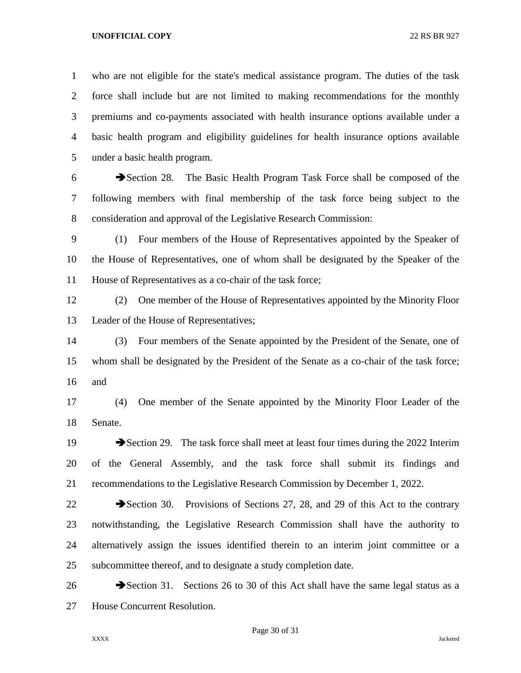who are not eligible for the state's medical assistance program. The duties of the task force shall include but are not limited to making recommendations for the monthly premiums and co-payments associated with health insurance options available under a basic health program and eligibility guidelines for health insurance options available under a basic health program.

6 Section 28. The Basic Health Program Task Force shall be composed of the following members with final membership of the task force being subject to the consideration and approval of the Legislative Research Commission:

 (1) Four members of the House of Representatives appointed by the Speaker of the House of Representatives, one of whom shall be designated by the Speaker of the House of Representatives as a co-chair of the task force;

 (2) One member of the House of Representatives appointed by the Minority Floor Leader of the House of Representatives;

 (3) Four members of the Senate appointed by the President of the Senate, one of whom shall be designated by the President of the Senate as a co-chair of the task force; and

 (4) One member of the Senate appointed by the Minority Floor Leader of the Senate.

19 Section 29. The task force shall meet at least four times during the 2022 Interim of the General Assembly, and the task force shall submit its findings and recommendations to the Legislative Research Commission by December 1, 2022.

22 Section 30. Provisions of Sections 27, 28, and 29 of this Act to the contrary notwithstanding, the Legislative Research Commission shall have the authority to alternatively assign the issues identified therein to an interim joint committee or a subcommittee thereof, and to designate a study completion date.

26 Section 31. Sections 26 to 30 of this Act shall have the same legal status as a House Concurrent Resolution.

Page 30 of 31